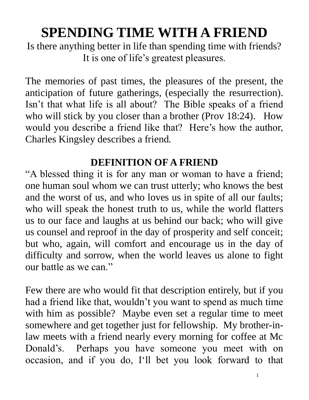# **SPENDING TIME WITH A FRIEND**

Is there anything better in life than spending time with friends? It is one of life's greatest pleasures.

The memories of past times, the pleasures of the present, the anticipation of future gatherings, (especially the resurrection). Isn't that what life is all about? The Bible speaks of a friend who will stick by you closer than a brother (Prov 18:24). How would you describe a friend like that? Here's how the author, Charles Kingsley describes a friend.

# **DEFINITION OF A FRIEND**

"A blessed thing it is for any man or woman to have a friend; one human soul whom we can trust utterly; who knows the best and the worst of us, and who loves us in spite of all our faults; who will speak the honest truth to us, while the world flatters us to our face and laughs at us behind our back; who will give us counsel and reproof in the day of prosperity and self conceit; but who, again, will comfort and encourage us in the day of difficulty and sorrow, when the world leaves us alone to fight our battle as we can."

Few there are who would fit that description entirely, but if you had a friend like that, wouldn't you want to spend as much time with him as possible? Maybe even set a regular time to meet somewhere and get together just for fellowship. My brother-inlaw meets with a friend nearly every morning for coffee at Mc Donald's. Perhaps you have someone you meet with on occasion, and if you do, I'll bet you look forward to that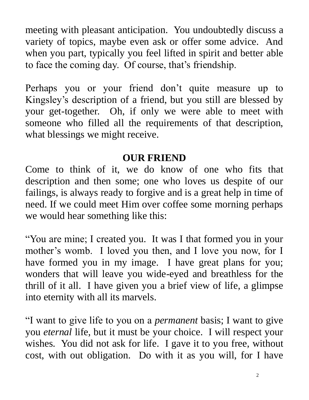meeting with pleasant anticipation. You undoubtedly discuss a variety of topics, maybe even ask or offer some advice. And when you part, typically you feel lifted in spirit and better able to face the coming day. Of course, that's friendship.

Perhaps you or your friend don't quite measure up to Kingsley's description of a friend, but you still are blessed by your get-together. Oh, if only we were able to meet with someone who filled all the requirements of that description, what blessings we might receive.

## **OUR FRIEND**

Come to think of it, we do know of one who fits that description and then some; one who loves us despite of our failings, is always ready to forgive and is a great help in time of need. If we could meet Him over coffee some morning perhaps we would hear something like this:

"You are mine; I created you. It was I that formed you in your mother's womb. I loved you then, and I love you now, for I have formed you in my image. I have great plans for you; wonders that will leave you wide-eyed and breathless for the thrill of it all. I have given you a brief view of life, a glimpse into eternity with all its marvels.

"I want to give life to you on a *permanent* basis; I want to give you *eternal* life, but it must be your choice. I will respect your wishes. You did not ask for life. I gave it to you free, without cost, with out obligation. Do with it as you will, for I have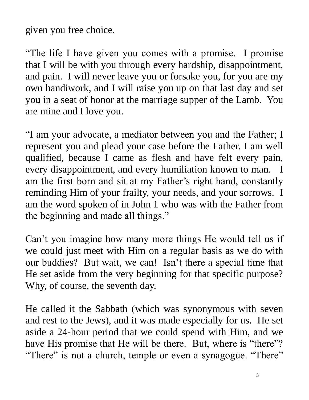given you free choice.

"The life I have given you comes with a promise. I promise that I will be with you through every hardship, disappointment, and pain. I will never leave you or forsake you, for you are my own handiwork, and I will raise you up on that last day and set you in a seat of honor at the marriage supper of the Lamb. You are mine and I love you.

"I am your advocate, a mediator between you and the Father; I represent you and plead your case before the Father. I am well qualified, because I came as flesh and have felt every pain, every disappointment, and every humiliation known to man. I am the first born and sit at my Father's right hand, constantly reminding Him of your frailty, your needs, and your sorrows. I am the word spoken of in John 1 who was with the Father from the beginning and made all things."

Can't you imagine how many more things He would tell us if we could just meet with Him on a regular basis as we do with our buddies? But wait, we can! Isn't there a special time that He set aside from the very beginning for that specific purpose? Why, of course, the seventh day.

He called it the Sabbath (which was synonymous with seven and rest to the Jews), and it was made especially for us. He set aside a 24-hour period that we could spend with Him, and we have His promise that He will be there. But, where is "there"? "There" is not a church, temple or even a synagogue. "There"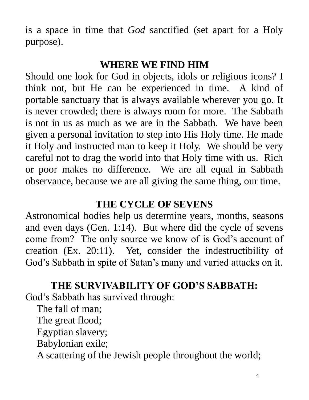is a space in time that *God* sanctified (set apart for a Holy purpose).

## **WHERE WE FIND HIM**

Should one look for God in objects, idols or religious icons? I think not, but He can be experienced in time. A kind of portable sanctuary that is always available wherever you go. It is never crowded; there is always room for more. The Sabbath is not in us as much as we are in the Sabbath. We have been given a personal invitation to step into His Holy time. He made it Holy and instructed man to keep it Holy. We should be very careful not to drag the world into that Holy time with us. Rich or poor makes no difference. We are all equal in Sabbath observance, because we are all giving the same thing, our time.

# **THE CYCLE OF SEVENS**

Astronomical bodies help us determine years, months, seasons and even days (Gen. 1:14). But where did the cycle of sevens come from? The only source we know of is God's account of creation (Ex. 20:11). Yet, consider the indestructibility of God's Sabbath in spite of Satan's many and varied attacks on it.

# **THE SURVIVABILITY OF GOD'S SABBATH:**

God's Sabbath has survived through:

The fall of man;

The great flood;

Egyptian slavery;

Babylonian exile;

A scattering of the Jewish people throughout the world;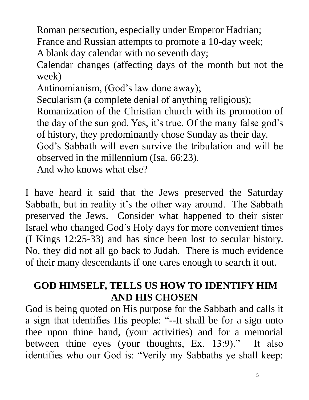Roman persecution, especially under Emperor Hadrian; France and Russian attempts to promote a 10-day week; A blank day calendar with no seventh day;

Calendar changes (affecting days of the month but not the week)

Antinomianism, (God's law done away);

Secularism (a complete denial of anything religious);

Romanization of the Christian church with its promotion of the day of the sun god. Yes, it's true. Of the many false god's of history, they predominantly chose Sunday as their day.

God's Sabbath will even survive the tribulation and will be observed in the millennium (Isa. 66:23).

And who knows what else?

I have heard it said that the Jews preserved the Saturday Sabbath, but in reality it's the other way around. The Sabbath preserved the Jews. Consider what happened to their sister Israel who changed God's Holy days for more convenient times (I Kings 12:25-33) and has since been lost to secular history. No, they did not all go back to Judah. There is much evidence of their many descendants if one cares enough to search it out.

# **GOD HIMSELF, TELLS US HOW TO IDENTIFY HIM AND HIS CHOSEN**

God is being quoted on His purpose for the Sabbath and calls it a sign that identifies His people: "--It shall be for a sign unto thee upon thine hand, (your activities) and for a memorial between thine eyes (your thoughts, Ex. 13:9)." It also identifies who our God is: "Verily my Sabbaths ye shall keep: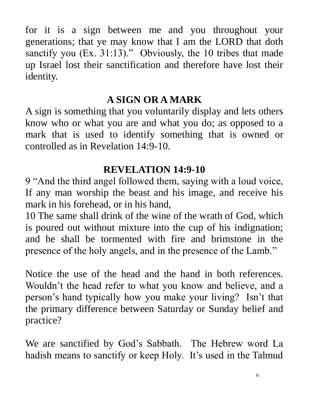for it is a sign between me and you throughout your generations; that ye may know that I am the LORD that doth sanctify you (Ex. 31:13)." Obviously, the 10 tribes that made up Israel lost their sanctification and therefore have lost their identity.

# **A SIGN OR A MARK**

A sign is something that you voluntarily display and lets others know who or what you are and what you do; as opposed to a mark that is used to identify something that is owned or controlled as in Revelation 14:9-10.

# **REVELATION 14:9-10**

9 "And the third angel followed them, saying with a loud voice, If any man worship the beast and his image, and receive his mark in his forehead, or in his hand,

10 The same shall drink of the wine of the wrath of God, which is poured out without mixture into the cup of his indignation; and he shall be tormented with fire and brimstone in the presence of the holy angels, and in the presence of the Lamb."

Notice the use of the head and the hand in both references. Wouldn't the head refer to what you know and believe, and a person's hand typically how you make your living? Isn't that the primary difference between Saturday or Sunday belief and practice?

We are sanctified by God's Sabbath. The Hebrew word La hadish means to sanctify or keep Holy. It's used in the Talmud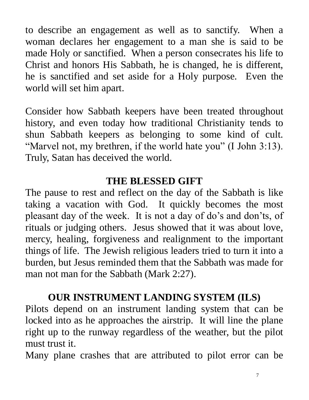to describe an engagement as well as to sanctify. When a woman declares her engagement to a man she is said to be made Holy or sanctified. When a person consecrates his life to Christ and honors His Sabbath, he is changed, he is different, he is sanctified and set aside for a Holy purpose. Even the world will set him apart.

Consider how Sabbath keepers have been treated throughout history, and even today how traditional Christianity tends to shun Sabbath keepers as belonging to some kind of cult. "Marvel not, my brethren, if the world hate you" (I John 3:13). Truly, Satan has deceived the world.

# **THE BLESSED GIFT**

The pause to rest and reflect on the day of the Sabbath is like taking a vacation with God. It quickly becomes the most pleasant day of the week. It is not a day of do's and don'ts, of rituals or judging others. Jesus showed that it was about love, mercy, healing, forgiveness and realignment to the important things of life. The Jewish religious leaders tried to turn it into a burden, but Jesus reminded them that the Sabbath was made for man not man for the Sabbath (Mark 2:27).

# **OUR INSTRUMENT LANDING SYSTEM (ILS)**

Pilots depend on an instrument landing system that can be locked into as he approaches the airstrip. It will line the plane right up to the runway regardless of the weather, but the pilot must trust it.

Many plane crashes that are attributed to pilot error can be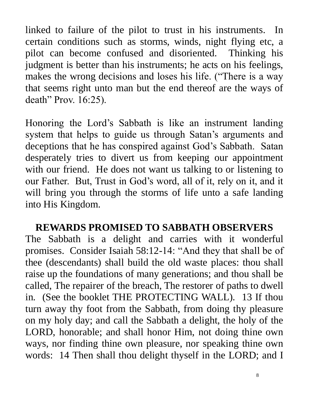linked to failure of the pilot to trust in his instruments. In certain conditions such as storms, winds, night flying etc, a pilot can become confused and disoriented. Thinking his judgment is better than his instruments; he acts on his feelings, makes the wrong decisions and loses his life. ("There is a way that seems right unto man but the end thereof are the ways of death" Prov. 16:25).

Honoring the Lord's Sabbath is like an instrument landing system that helps to guide us through Satan's arguments and deceptions that he has conspired against God's Sabbath. Satan desperately tries to divert us from keeping our appointment with our friend. He does not want us talking to or listening to our Father. But, Trust in God's word, all of it, rely on it, and it will bring you through the storms of life unto a safe landing into His Kingdom.

## **REWARDS PROMISED TO SABBATH OBSERVERS**

The Sabbath is a delight and carries with it wonderful promises. Consider Isaiah 58:12-14: "And they that shall be of thee (descendants) shall build the old waste places: thou shall raise up the foundations of many generations; and thou shall be called, The repairer of the breach, The restorer of paths to dwell in. (See the booklet THE PROTECTING WALL). 13 If thou turn away thy foot from the Sabbath, from doing thy pleasure on my holy day; and call the Sabbath a delight, the holy of the LORD, honorable; and shall honor Him, not doing thine own ways, nor finding thine own pleasure, nor speaking thine own words: 14 Then shall thou delight thyself in the LORD; and I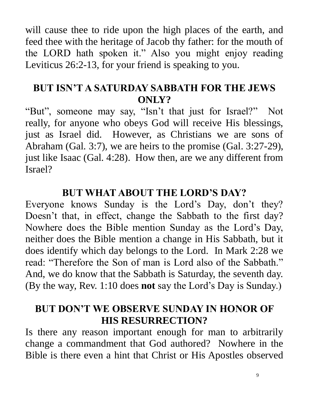will cause thee to ride upon the high places of the earth, and feed thee with the heritage of Jacob thy father: for the mouth of the LORD hath spoken it." Also you might enjoy reading Leviticus 26:2-13, for your friend is speaking to you.

## **BUT ISN'T A SATURDAY SABBATH FOR THE JEWS ONLY?**

"But", someone may say, "Isn't that just for Israel?" Not really, for anyone who obeys God will receive His blessings, just as Israel did. However, as Christians we are sons of Abraham (Gal. 3:7), we are heirs to the promise (Gal. 3:27-29), just like Isaac (Gal. 4:28). How then, are we any different from Israel?

## **BUT WHAT ABOUT THE LORD'S DAY?**

Everyone knows Sunday is the Lord's Day, don't they? Doesn't that, in effect, change the Sabbath to the first day? Nowhere does the Bible mention Sunday as the Lord's Day, neither does the Bible mention a change in His Sabbath, but it does identify which day belongs to the Lord. In Mark 2:28 we read: "Therefore the Son of man is Lord also of the Sabbath." And, we do know that the Sabbath is Saturday, the seventh day. (By the way, Rev. 1:10 does **not** say the Lord's Day is Sunday.)

## **BUT DON'T WE OBSERVE SUNDAY IN HONOR OF HIS RESURRECTION?**

Is there any reason important enough for man to arbitrarily change a commandment that God authored? Nowhere in the Bible is there even a hint that Christ or His Apostles observed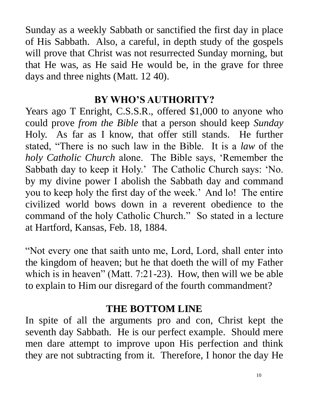Sunday as a weekly Sabbath or sanctified the first day in place of His Sabbath. Also, a careful, in depth study of the gospels will prove that Christ was not resurrected Sunday morning, but that He was, as He said He would be, in the grave for three days and three nights (Matt. 12 40).

## **BY WHO'S AUTHORITY?**

Years ago T Enright, C.S.S.R., offered \$1,000 to anyone who could prove *from the Bible* that a person should keep *Sunday* Holy. As far as I know, that offer still stands. He further stated, "There is no such law in the Bible. It is a *law* of the *holy Catholic Church* alone. The Bible says, 'Remember the Sabbath day to keep it Holy.' The Catholic Church says: 'No. by my divine power I abolish the Sabbath day and command you to keep holy the first day of the week.' And lo! The entire civilized world bows down in a reverent obedience to the command of the holy Catholic Church." So stated in a lecture at Hartford, Kansas, Feb. 18, 1884.

"Not every one that saith unto me, Lord, Lord, shall enter into the kingdom of heaven; but he that doeth the will of my Father which is in heaven" (Matt. 7:21-23). How, then will we be able to explain to Him our disregard of the fourth commandment?

## **THE BOTTOM LINE**

In spite of all the arguments pro and con, Christ kept the seventh day Sabbath. He is our perfect example. Should mere men dare attempt to improve upon His perfection and think they are not subtracting from it. Therefore, I honor the day He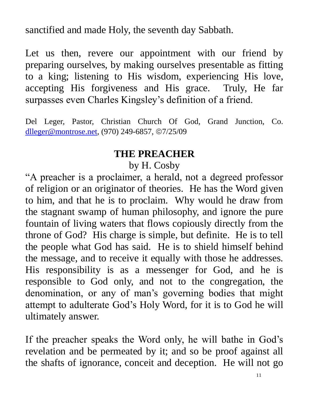sanctified and made Holy, the seventh day Sabbath.

Let us then, revere our appointment with our friend by preparing ourselves, by making ourselves presentable as fitting to a king; listening to His wisdom, experiencing His love, accepting His forgiveness and His grace. Truly, He far surpasses even Charles Kingsley's definition of a friend.

Del Leger, Pastor, Christian Church Of God, Grand Junction, Co. [dlleger@montrose.net,](mailto:dlleger@montrose.net) (970) 249-6857, ©7/25/09

#### **THE PREACHER**

## by H. Cosby

"A preacher is a proclaimer, a herald, not a degreed professor of religion or an originator of theories. He has the Word given to him, and that he is to proclaim. Why would he draw from the stagnant swamp of human philosophy, and ignore the pure fountain of living waters that flows copiously directly from the throne of God? His charge is simple, but definite. He is to tell the people what God has said. He is to shield himself behind the message, and to receive it equally with those he addresses. His responsibility is as a messenger for God, and he is responsible to God only, and not to the congregation, the denomination, or any of man's governing bodies that might attempt to adulterate God's Holy Word, for it is to God he will ultimately answer.

If the preacher speaks the Word only, he will bathe in God's revelation and be permeated by it; and so be proof against all the shafts of ignorance, conceit and deception. He will not go